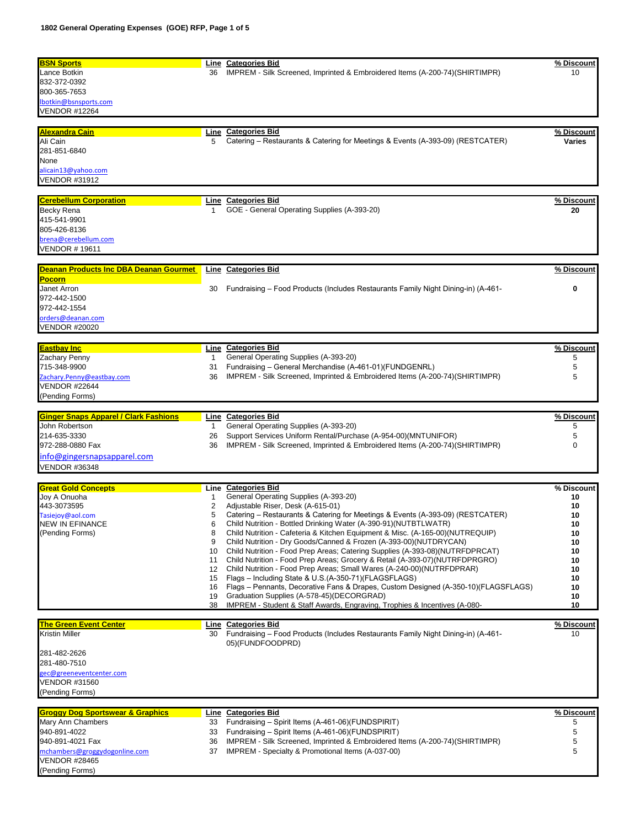| <b>BSN Sports</b>                             |              | <b>Line Categories Bid</b>                                                         | % Discount    |
|-----------------------------------------------|--------------|------------------------------------------------------------------------------------|---------------|
| Lance Botkin                                  | 36           | IMPREM - Silk Screened, Imprinted & Embroidered Items (A-200-74)(SHIRTIMPR)        | 10            |
| 832-372-0392                                  |              |                                                                                    |               |
| 800-365-7653                                  |              |                                                                                    |               |
| lbotkin@bsnsports.com                         |              |                                                                                    |               |
| <b>VENDOR #12264</b>                          |              |                                                                                    |               |
|                                               |              |                                                                                    |               |
| Alexandra Cain                                |              | Line Categories Bid                                                                | % Discount    |
| Ali Cain                                      | 5            | Catering – Restaurants & Catering for Meetings & Events (A-393-09) (RESTCATER)     | <b>Varies</b> |
| 281-851-6840                                  |              |                                                                                    |               |
|                                               |              |                                                                                    |               |
| None                                          |              |                                                                                    |               |
| alicain13@yahoo.com                           |              |                                                                                    |               |
| <b>VENDOR #31912</b>                          |              |                                                                                    |               |
|                                               |              |                                                                                    |               |
| <b>Cerebellum Corporation</b>                 |              | Line Categories Bid                                                                | % Discount    |
| Becky Rena                                    | $\mathbf{1}$ | GOE - General Operating Supplies (A-393-20)                                        | 20            |
| 415-541-9901                                  |              |                                                                                    |               |
| 805-426-8136                                  |              |                                                                                    |               |
| brena@cerebellum.com                          |              |                                                                                    |               |
| <b>VENDOR #19611</b>                          |              |                                                                                    |               |
|                                               |              |                                                                                    |               |
| <b>Deanan Products Inc DBA Deanan Gourmet</b> |              | Line Categories Bid                                                                | % Discount    |
| <b>Pocorn</b>                                 |              |                                                                                    |               |
| Janet Arron                                   | 30           | Fundraising - Food Products (Includes Restaurants Family Night Dining-in) (A-461-  | 0             |
|                                               |              |                                                                                    |               |
| 972-442-1500                                  |              |                                                                                    |               |
| 972-442-1554                                  |              |                                                                                    |               |
| orders@deanan.com                             |              |                                                                                    |               |
| <b>VENDOR #20020</b>                          |              |                                                                                    |               |
|                                               |              |                                                                                    |               |
| <b>Eastbay Inc</b>                            |              | <b>Line Categories Bid</b>                                                         | % Discount    |
| Zachary Penny                                 | $\mathbf{1}$ | General Operating Supplies (A-393-20)                                              | 5             |
| 715-348-9900                                  | 31           | Fundraising - General Merchandise (A-461-01)(FUNDGENRL)                            | 5             |
| Zachary.Penny@eastbay.com                     | 36           | IMPREM - Silk Screened, Imprinted & Embroidered Items (A-200-74)(SHIRTIMPR)        | 5             |
| <b>VENDOR #22644</b>                          |              |                                                                                    |               |
| (Pending Forms)                               |              |                                                                                    |               |
|                                               |              |                                                                                    |               |
|                                               |              |                                                                                    |               |
| <b>Ginger Snaps Apparel / Clark Fashions</b>  |              | Line Categories Bid                                                                | % Discount    |
| John Robertson                                | $\mathbf{1}$ | General Operating Supplies (A-393-20)                                              | 5             |
| 214-635-3330                                  | 26           | Support Services Uniform Rental/Purchase (A-954-00)(MNTUNIFOR)                     | 5             |
| 972-288-0880 Fax                              | 36           | IMPREM - Silk Screened, Imprinted & Embroidered Items (A-200-74)(SHIRTIMPR)        | 0             |
| info@gingersnapsapparel.com                   |              |                                                                                    |               |
| VENDOR #36348                                 |              |                                                                                    |               |
|                                               |              |                                                                                    |               |
| <b>Great Gold Concepts</b>                    |              | Line Categories Bid                                                                | % Discount    |
| Joy A Onuoha                                  | 1            | General Operating Supplies (A-393-20)                                              | 10            |
| 443-3073595                                   | 2            | Adjustable Riser, Desk (A-615-01)                                                  | 10            |
| Tasiejoy@aol.com                              | 5            | Catering – Restaurants & Catering for Meetings & Events (A-393-09) (RESTCATER)     | 10            |
| <b>NEW IN EFINANCE</b>                        |              | Child Nutrition - Bottled Drinking Water (A-390-91)(NUTBTLWATR)                    |               |
|                                               | 6<br>8       |                                                                                    | 10            |
| (Pending Forms)                               |              | Child Nutrition - Cafeteria & Kitchen Equipment & Misc. (A-165-00)(NUTREQUIP)      | 10            |
|                                               | 9            | Child Nutrition - Dry Goods/Canned & Frozen (A-393-00)(NUTDRYCAN)                  | 10            |
|                                               | 10           | Child Nutrition - Food Prep Areas; Catering Supplies (A-393-08) (NUTRFDPRCAT)      | 10            |
|                                               | 11           | Child Nutrition - Food Prep Areas; Grocery & Retail (A-393-07) (NUTRFDPRGRO)       | 10            |
|                                               |              | 12 Child Nutrition - Food Prep Areas; Small Wares (A-240-00) (NUTRFDPRAR)          | 10            |
|                                               | 15           | Flags – Including State & U.S.(A-350-71)(FLAGSFLAGS)                               | 10            |
|                                               | 16           | Flags - Pennants, Decorative Fans & Drapes, Custom Designed (A-350-10)(FLAGSFLAGS) | 10            |
|                                               | 19           | Graduation Supplies (A-578-45)(DECORGRAD)                                          | 10            |
|                                               | 38           | IMPREM - Student & Staff Awards, Engraving, Trophies & Incentives (A-080-          | 10            |
|                                               |              |                                                                                    |               |
| <b>The Green Event Center</b>                 |              | Line Categories Bid                                                                | % Discount    |
| Kristin Miller                                | 30           | Fundraising - Food Products (Includes Restaurants Family Night Dining-in) (A-461-  | 10            |
|                                               |              | 05)(FUNDFOODPRD)                                                                   |               |
| 281-482-2626                                  |              |                                                                                    |               |
| 281-480-7510                                  |              |                                                                                    |               |
| gec@greeneventcenter.com                      |              |                                                                                    |               |
| VENDOR #31560                                 |              |                                                                                    |               |
| (Pending Forms)                               |              |                                                                                    |               |
|                                               |              |                                                                                    |               |
| <b>Groggy Dog Sportswear &amp; Graphics</b>   |              | Line Categories Bid                                                                | % Discount    |
| Mary Ann Chambers                             | 33           | Fundraising - Spirit Items (A-461-06)(FUNDSPIRIT)                                  | 5             |
| 940-891-4022                                  | 33           | Fundraising - Spirit Items (A-461-06)(FUNDSPIRIT)                                  | 5             |
|                                               |              |                                                                                    |               |
| 940-891-4021 Fax                              | 36           | IMPREM - Silk Screened, Imprinted & Embroidered Items (A-200-74) (SHIRTIMPR)       | 5             |
| mchambers@groggydogonline.com                 | 37           | IMPREM - Specialty & Promotional Items (A-037-00)                                  | 5             |
| <b>VENDOR #28465</b>                          |              |                                                                                    |               |
| (Pending Forms)                               |              |                                                                                    |               |
|                                               |              |                                                                                    |               |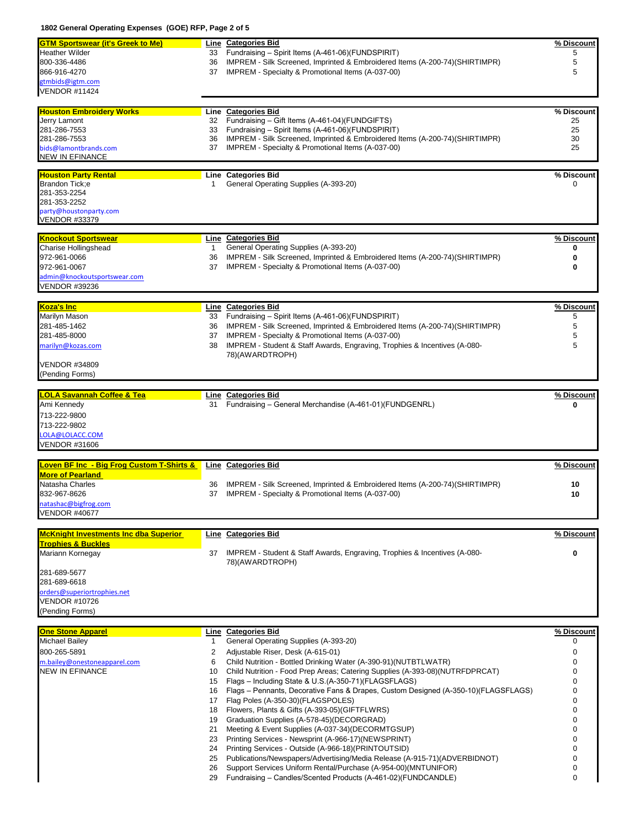## **1802 General Operating Expenses (GOE) RFP, Page 2 of 5**

| <b>GTM Sportswear (it's Greek to Me)</b>     |          | <b>Line Categories Bid</b>                                                                                                      | % Discount |
|----------------------------------------------|----------|---------------------------------------------------------------------------------------------------------------------------------|------------|
| <b>Heather Wilder</b>                        |          | 33 Fundraising - Spirit Items (A-461-06)(FUNDSPIRIT)                                                                            | 5          |
| 800-336-4486                                 | 36       | IMPREM - Silk Screened, Imprinted & Embroidered Items (A-200-74)(SHIRTIMPR)                                                     | 5          |
| 866-916-4270                                 |          | 37 IMPREM - Specialty & Promotional Items (A-037-00)                                                                            | 5          |
|                                              |          |                                                                                                                                 |            |
| gtmbids@igtm.com                             |          |                                                                                                                                 |            |
| <b>VENDOR #11424</b>                         |          |                                                                                                                                 |            |
| <b>Houston Embroidery Works</b>              |          | <b>Line Categories Bid</b>                                                                                                      | % Discount |
| Jerry Lamont                                 | 32       | Fundraising - Gift Items (A-461-04)(FUNDGIFTS)                                                                                  | 25         |
| 281-286-7553                                 | 33       | Fundraising - Spirit Items (A-461-06)(FUNDSPIRIT)                                                                               | 25         |
| 281-286-7553                                 |          | 36 IMPREM - Silk Screened, Imprinted & Embroidered Items (A-200-74) (SHIRTIMPR)                                                 | 30         |
| bids@lamontbrands.com                        |          | 37 IMPREM - Specialty & Promotional Items (A-037-00)                                                                            | 25         |
| <b>NEW IN EFINANCE</b>                       |          |                                                                                                                                 |            |
|                                              |          |                                                                                                                                 |            |
| <b>Houston Party Rental</b>                  |          | <b>Line Categories Bid</b>                                                                                                      | % Discount |
| Brandon Tick;e                               | 1        | General Operating Supplies (A-393-20)                                                                                           | $\Omega$   |
| 281-353-2254                                 |          |                                                                                                                                 |            |
| 281-353-2252                                 |          |                                                                                                                                 |            |
| party@houstonparty.com                       |          |                                                                                                                                 |            |
| <b>VENDOR #33379</b>                         |          |                                                                                                                                 |            |
|                                              |          |                                                                                                                                 |            |
| Knockout Sportswear                          |          | Line Categories Bid                                                                                                             | % Discount |
| Charise Hollingshead                         | 1        | General Operating Supplies (A-393-20)                                                                                           | 0          |
| 972-961-0066                                 | 36       | IMPREM - Silk Screened, Imprinted & Embroidered Items (A-200-74)(SHIRTIMPR)                                                     | 0          |
| 972-961-0067                                 | 37       | IMPREM - Specialty & Promotional Items (A-037-00)                                                                               | 0          |
| admin@knockoutsportswear.com                 |          |                                                                                                                                 |            |
| VENDOR #39236                                |          |                                                                                                                                 |            |
|                                              |          |                                                                                                                                 |            |
| Koza's Inc                                   |          | <b>Line Categories Bid</b>                                                                                                      | % Discount |
| Marilyn Mason                                |          | 33 Fundraising - Spirit Items (A-461-06)(FUNDSPIRIT)                                                                            | 5          |
| 281-485-1462                                 | 36       | IMPREM - Silk Screened, Imprinted & Embroidered Items (A-200-74)(SHIRTIMPR)                                                     | 5          |
| 281-485-8000                                 |          | 37 IMPREM - Specialty & Promotional Items (A-037-00)                                                                            | 5          |
| marilyn@kozas.com                            | 38       | IMPREM - Student & Staff Awards, Engraving, Trophies & Incentives (A-080-                                                       | 5          |
|                                              |          | 78)(AWARDTROPH)                                                                                                                 |            |
| <b>VENDOR #34809</b>                         |          |                                                                                                                                 |            |
| (Pending Forms)                              |          |                                                                                                                                 |            |
|                                              |          |                                                                                                                                 |            |
| <u>-OLA Savannah Coffee &amp; Tea</u>        |          | <b>Line Categories Bid</b>                                                                                                      | % Discount |
| Ami Kennedy                                  | 31       | Fundraising - General Merchandise (A-461-01)(FUNDGENRL)                                                                         | 0          |
| 713-222-9800                                 |          |                                                                                                                                 |            |
| 713-222-9802                                 |          |                                                                                                                                 |            |
| OLA@LOLACC.COM                               |          |                                                                                                                                 |            |
| /ENDOR #31606                                |          |                                                                                                                                 |            |
|                                              |          |                                                                                                                                 |            |
| Loven BF Inc -Big Frog Custom T-Shirts &     |          | <b>Line Categories Bid</b>                                                                                                      | % Discount |
|                                              |          |                                                                                                                                 |            |
| <b>More of Pearland</b>                      |          |                                                                                                                                 |            |
|                                              |          | IMPREM - Silk Screened, Imprinted & Embroidered Items (A-200-74) (SHIRTIMPR)                                                    |            |
| Natasha Charles                              | 36<br>37 |                                                                                                                                 | 10         |
| 832-967-8626                                 |          | IMPREM - Specialty & Promotional Items (A-037-00)                                                                               | 10         |
| atashac@bigfrog.com<br>VENDOR #40677         |          |                                                                                                                                 |            |
|                                              |          |                                                                                                                                 |            |
| McKnight Investments Inc dba Superior        |          |                                                                                                                                 |            |
| <b>Trophies &amp; Buckles</b>                |          | Line Categories Bid                                                                                                             | % Discount |
| Mariann Kornegay                             | 37       | IMPREM - Student & Staff Awards, Engraving, Trophies & Incentives (A-080-                                                       | 0          |
|                                              |          | 78)(AWARDTROPH)                                                                                                                 |            |
| 281-689-5677                                 |          |                                                                                                                                 |            |
| 281-689-6618                                 |          |                                                                                                                                 |            |
|                                              |          |                                                                                                                                 |            |
| orders@superiortrophies.net<br>VENDOR #10726 |          |                                                                                                                                 |            |
|                                              |          |                                                                                                                                 |            |
| (Pending Forms)                              |          |                                                                                                                                 |            |
| <b>One Stone Apparel</b>                     |          | <b>Line Categories Bid</b>                                                                                                      | % Discount |
| <b>Michael Bailey</b>                        | 1        | General Operating Supplies (A-393-20)                                                                                           | 0          |
|                                              |          |                                                                                                                                 | 0          |
| 800-265-5891                                 | 2        | Adjustable Riser, Desk (A-615-01)                                                                                               |            |
| m.bailey@onestoneapparel.com                 | 6        | Child Nutrition - Bottled Drinking Water (A-390-91)(NUTBTLWATR)                                                                 | 0<br>0     |
| NEW IN EFINANCE                              |          | 10 Child Nutrition - Food Prep Areas; Catering Supplies (A-393-08)(NUTRFDPRCAT)                                                 |            |
|                                              | 15       | Flags – Including State & U.S.(A-350-71)(FLAGSFLAGS)                                                                            | 0          |
|                                              | 16       | Flags - Pennants, Decorative Fans & Drapes, Custom Designed (A-350-10)(FLAGSFLAGS)                                              | 0          |
|                                              | 17       | Flag Poles (A-350-30)(FLAGSPOLES)                                                                                               | 0          |
|                                              | 18       | Flowers, Plants & Gifts (A-393-05)(GIFTFLWRS)                                                                                   | 0          |
|                                              | 19       | Graduation Supplies (A-578-45) (DECORGRAD)                                                                                      | 0          |
|                                              | 21       | Meeting & Event Supplies (A-037-34)(DECORMTGSUP)                                                                                | 0          |
|                                              | 23       | Printing Services - Newsprint (A-966-17)(NEWSPRINT)                                                                             | n          |
|                                              | 24       | Printing Services - Outside (A-966-18)(PRINTOUTSID)                                                                             | ი          |
|                                              | 25       | Publications/Newspapers/Advertising/Media Release (A-915-71)(ADVERBIDNOT)                                                       | ი          |
|                                              | 26<br>29 | Support Services Uniform Rental/Purchase (A-954-00)(MNTUNIFOR)<br>Fundraising - Candles/Scented Products (A-461-02)(FUNDCANDLE) | 0<br>0     |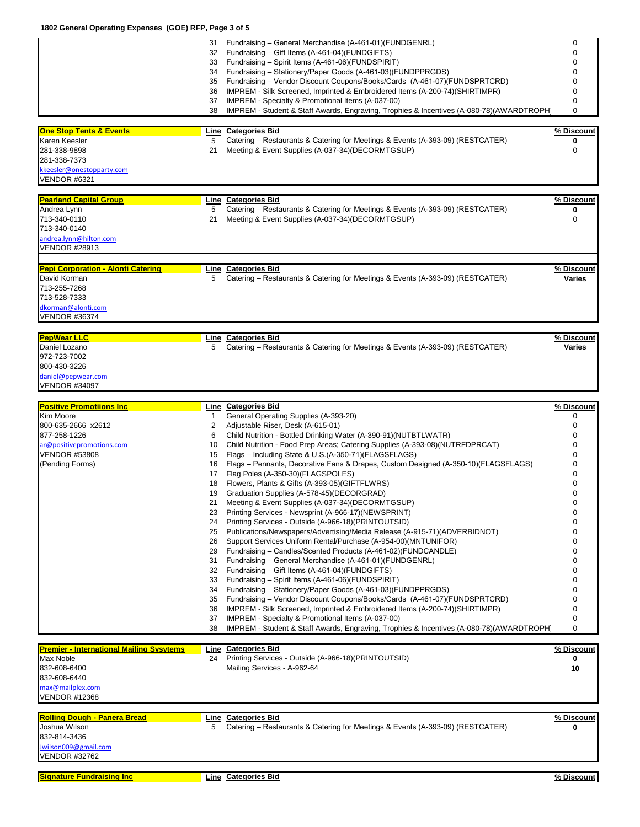## **1802 General Operating Expenses (GOE) RFP, Page 3 of 5**

| <b>One Stop Tents &amp; Events</b>                                                                                               | 31                      | Fundraising - General Merchandise (A-461-01)(FUNDGENRL)<br>32 Fundraising – Gift Items (A-461-04)(FUNDGIFTS)<br>33 Fundraising - Spirit Items (A-461-06)(FUNDSPIRIT)<br>34 Fundraising – Stationery/Paper Goods (A-461-03)(FUNDPPRGDS)<br>35 Fundraising - Vendor Discount Coupons/Books/Cards (A-461-07)(FUNDSPRTCRD)<br>36 IMPREM - Silk Screened, Imprinted & Embroidered Items (A-200-74)(SHIRTIMPR)<br>37 IMPREM - Specialty & Promotional Items (A-037-00)<br>38 IMPREM - Student & Staff Awards, Engraving, Trophies & Incentives (A-080-78)(AWARDTROPH)<br><b>Line Categories Bid</b> | 0<br>0<br>0<br>0<br>0<br>0<br>0<br>0<br>% Discount |
|----------------------------------------------------------------------------------------------------------------------------------|-------------------------|-----------------------------------------------------------------------------------------------------------------------------------------------------------------------------------------------------------------------------------------------------------------------------------------------------------------------------------------------------------------------------------------------------------------------------------------------------------------------------------------------------------------------------------------------------------------------------------------------|----------------------------------------------------|
| Karen Keesler<br>281-338-9898<br>281-338-7373<br>kkeesler@onestopparty.com<br>VENDOR #6321                                       | 5<br>21                 | Catering – Restaurants & Catering for Meetings & Events (A-393-09) (RESTCATER)<br>Meeting & Event Supplies (A-037-34)(DECORMTGSUP)                                                                                                                                                                                                                                                                                                                                                                                                                                                            | 0<br>$\mathbf 0$                                   |
|                                                                                                                                  |                         |                                                                                                                                                                                                                                                                                                                                                                                                                                                                                                                                                                                               |                                                    |
| <b>Pearland Capital Group</b><br>Andrea Lynn<br>713-340-0110<br>713-340-0140<br>andrea.lynn@hilton.com<br><b>VENDOR #28913</b>   | 5<br>21                 | Line Categories Bid<br>Catering – Restaurants & Catering for Meetings & Events (A-393-09) (RESTCATER)<br>Meeting & Event Supplies (A-037-34)(DECORMTGSUP)                                                                                                                                                                                                                                                                                                                                                                                                                                     | % Discount<br>0<br>0                               |
| <b>Pepi Corporation - Alonti Catering</b><br>David Korman<br>713-255-7268<br>713-528-7333<br>dkorman@alonti.com<br>VENDOR #36374 | 5                       | Line Categories Bid<br>Catering – Restaurants & Catering for Meetings & Events (A-393-09) (RESTCATER)                                                                                                                                                                                                                                                                                                                                                                                                                                                                                         | % Discount<br><b>Varies</b>                        |
| <b>PepWear LLC</b>                                                                                                               |                         | Line Categories Bid                                                                                                                                                                                                                                                                                                                                                                                                                                                                                                                                                                           | % Discount                                         |
| Daniel Lozano<br>972-723-7002<br>800-430-3226<br>daniel@pepwear.com<br>VENDOR #34097                                             | 5                       | Catering – Restaurants & Catering for Meetings & Events (A-393-09) (RESTCATER)                                                                                                                                                                                                                                                                                                                                                                                                                                                                                                                | Varies                                             |
| <b>Positive Promotiions Inc</b>                                                                                                  |                         | Line Categories Bid                                                                                                                                                                                                                                                                                                                                                                                                                                                                                                                                                                           | % Discount                                         |
| Kim Moore                                                                                                                        | 1                       | General Operating Supplies (A-393-20)                                                                                                                                                                                                                                                                                                                                                                                                                                                                                                                                                         | 0                                                  |
| 800-635-2666 x2612                                                                                                               | $\overline{\mathbf{c}}$ | Adjustable Riser, Desk (A-615-01)                                                                                                                                                                                                                                                                                                                                                                                                                                                                                                                                                             | 0                                                  |
| 877-258-1226                                                                                                                     | 6                       | Child Nutrition - Bottled Drinking Water (A-390-91)(NUTBTLWATR)                                                                                                                                                                                                                                                                                                                                                                                                                                                                                                                               | 0                                                  |
| ar@positivepromotions.com<br><b>VENDOR #53808</b>                                                                                | 10<br>15                | Child Nutrition - Food Prep Areas; Catering Supplies (A-393-08) (NUTRFDPRCAT)<br>Flags - Including State & U.S.(A-350-71)(FLAGSFLAGS)                                                                                                                                                                                                                                                                                                                                                                                                                                                         | 0<br>0                                             |
| (Pending Forms)                                                                                                                  | 16                      | Flags - Pennants, Decorative Fans & Drapes, Custom Designed (A-350-10)(FLAGSFLAGS)                                                                                                                                                                                                                                                                                                                                                                                                                                                                                                            | 0                                                  |
|                                                                                                                                  | 17                      | Flag Poles (A-350-30)(FLAGSPOLES)                                                                                                                                                                                                                                                                                                                                                                                                                                                                                                                                                             | 0                                                  |
|                                                                                                                                  | 18                      | Flowers, Plants & Gifts (A-393-05) (GIFTFLWRS)                                                                                                                                                                                                                                                                                                                                                                                                                                                                                                                                                | 0                                                  |
|                                                                                                                                  | 19                      | Graduation Supplies (A-578-45)(DECORGRAD)                                                                                                                                                                                                                                                                                                                                                                                                                                                                                                                                                     | 0                                                  |
|                                                                                                                                  | 21<br>23                | Meeting & Event Supplies (A-037-34)(DECORMTGSUP)<br>Printing Services - Newsprint (A-966-17) (NEWSPRINT)                                                                                                                                                                                                                                                                                                                                                                                                                                                                                      | 0<br>0                                             |
|                                                                                                                                  | 24                      | Printing Services - Outside (A-966-18) (PRINTOUTSID)                                                                                                                                                                                                                                                                                                                                                                                                                                                                                                                                          | 0                                                  |
|                                                                                                                                  | 25                      | Publications/Newspapers/Advertising/Media Release (A-915-71)(ADVERBIDNOT)                                                                                                                                                                                                                                                                                                                                                                                                                                                                                                                     | 0                                                  |
|                                                                                                                                  |                         | 26 Support Services Uniform Rental/Purchase (A-954-00) (MNTUNIFOR)                                                                                                                                                                                                                                                                                                                                                                                                                                                                                                                            | 0                                                  |
|                                                                                                                                  |                         | 29 Fundraising - Candles/Scented Products (A-461-02) (FUNDCANDLE)<br>31 Fundraising - General Merchandise (A-461-01) (FUNDGENRL)                                                                                                                                                                                                                                                                                                                                                                                                                                                              | 0<br>0                                             |
|                                                                                                                                  |                         | 32 Fundraising - Gift Items (A-461-04)(FUNDGIFTS)                                                                                                                                                                                                                                                                                                                                                                                                                                                                                                                                             | 0                                                  |
|                                                                                                                                  |                         | 33 Fundraising - Spirit Items (A-461-06)(FUNDSPIRIT)                                                                                                                                                                                                                                                                                                                                                                                                                                                                                                                                          | 0                                                  |
|                                                                                                                                  |                         | 34 Fundraising - Stationery/Paper Goods (A-461-03)(FUNDPPRGDS)                                                                                                                                                                                                                                                                                                                                                                                                                                                                                                                                | 0                                                  |
|                                                                                                                                  | 36                      | 35 Fundraising - Vendor Discount Coupons/Books/Cards (A-461-07)(FUNDSPRTCRD)<br>IMPREM - Silk Screened, Imprinted & Embroidered Items (A-200-74) (SHIRTIMPR)                                                                                                                                                                                                                                                                                                                                                                                                                                  | 0<br>0                                             |
|                                                                                                                                  | 37                      | IMPREM - Specialty & Promotional Items (A-037-00)                                                                                                                                                                                                                                                                                                                                                                                                                                                                                                                                             | 0                                                  |
|                                                                                                                                  | 38                      | IMPREM - Student & Staff Awards, Engraving, Trophies & Incentives (A-080-78)(AWARDTROPH)                                                                                                                                                                                                                                                                                                                                                                                                                                                                                                      | 0                                                  |
|                                                                                                                                  |                         |                                                                                                                                                                                                                                                                                                                                                                                                                                                                                                                                                                                               |                                                    |
| <u> Premier - International Mailing Sysytems</u><br>Max Noble                                                                    |                         | Line Categories Bid<br>24 Printing Services - Outside (A-966-18) (PRINTOUTSID)                                                                                                                                                                                                                                                                                                                                                                                                                                                                                                                | % Discount<br>0                                    |
| 832-608-6400                                                                                                                     |                         | Mailing Services - A-962-64                                                                                                                                                                                                                                                                                                                                                                                                                                                                                                                                                                   | 10                                                 |
| 832-608-6440                                                                                                                     |                         |                                                                                                                                                                                                                                                                                                                                                                                                                                                                                                                                                                                               |                                                    |
| max@mailplex.com                                                                                                                 |                         |                                                                                                                                                                                                                                                                                                                                                                                                                                                                                                                                                                                               |                                                    |
| VENDOR #12368                                                                                                                    |                         |                                                                                                                                                                                                                                                                                                                                                                                                                                                                                                                                                                                               |                                                    |
| <b>Rolling Dough - Panera Bread</b>                                                                                              |                         | Line Categories Bid                                                                                                                                                                                                                                                                                                                                                                                                                                                                                                                                                                           | % Discount                                         |
| Joshua Wilson                                                                                                                    | 5                       | Catering – Restaurants & Catering for Meetings & Events (A-393-09) (RESTCATER)                                                                                                                                                                                                                                                                                                                                                                                                                                                                                                                | 0                                                  |
| 832-814-3436                                                                                                                     |                         |                                                                                                                                                                                                                                                                                                                                                                                                                                                                                                                                                                                               |                                                    |
| wilson009@gmail.com                                                                                                              |                         |                                                                                                                                                                                                                                                                                                                                                                                                                                                                                                                                                                                               |                                                    |
| <b>VENDOR #32762</b>                                                                                                             |                         |                                                                                                                                                                                                                                                                                                                                                                                                                                                                                                                                                                                               |                                                    |
| <b>Signature Fundraising Inc</b>                                                                                                 |                         | Line Categories Bid                                                                                                                                                                                                                                                                                                                                                                                                                                                                                                                                                                           | % Discount                                         |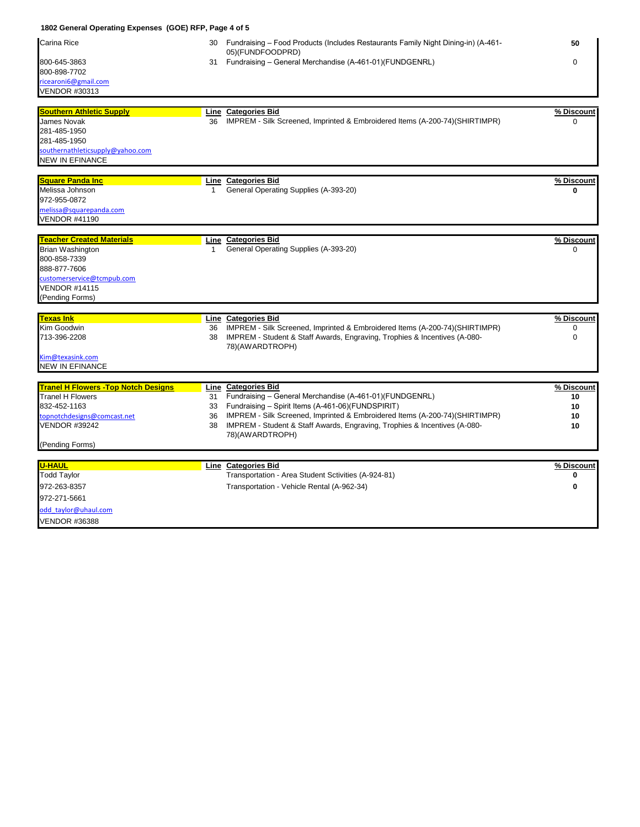|                                             |              |                                                                                                          | 1802 General Operating Expenses (GOE) RFP, Page 4 of 5 |  |  |  |  |  |  |
|---------------------------------------------|--------------|----------------------------------------------------------------------------------------------------------|--------------------------------------------------------|--|--|--|--|--|--|
| Carina Rice                                 |              | 30 Fundraising – Food Products (Includes Restaurants Family Night Dining-in) (A-461-<br>05)(FUNDFOODPRD) | 50                                                     |  |  |  |  |  |  |
| 800-645-3863<br>800-898-7702                | 31           | Fundraising - General Merchandise (A-461-01)(FUNDGENRL)                                                  | $\mathbf 0$                                            |  |  |  |  |  |  |
| ricearoni6@gmail.com                        |              |                                                                                                          |                                                        |  |  |  |  |  |  |
| <b>VENDOR #30313</b>                        |              |                                                                                                          |                                                        |  |  |  |  |  |  |
| Southern Athletic Supply                    |              | Line Categories Bid                                                                                      | % Discount                                             |  |  |  |  |  |  |
| James Novak                                 | 36           | IMPREM - Silk Screened, Imprinted & Embroidered Items (A-200-74)(SHIRTIMPR)                              | ∩                                                      |  |  |  |  |  |  |
| 281-485-1950                                |              |                                                                                                          |                                                        |  |  |  |  |  |  |
| 281-485-1950                                |              |                                                                                                          |                                                        |  |  |  |  |  |  |
| southernathleticsupply@yahoo.com            |              |                                                                                                          |                                                        |  |  |  |  |  |  |
| <b>NEW IN EFINANCE</b>                      |              |                                                                                                          |                                                        |  |  |  |  |  |  |
| <u>Square Panda Inc</u>                     |              | Line Categories Bid                                                                                      | % Discount                                             |  |  |  |  |  |  |
| Melissa Johnson                             | $\mathbf{1}$ | General Operating Supplies (A-393-20)                                                                    | $\Omega$                                               |  |  |  |  |  |  |
| 972-955-0872                                |              |                                                                                                          |                                                        |  |  |  |  |  |  |
| melissa@squarepanda.com                     |              |                                                                                                          |                                                        |  |  |  |  |  |  |
| <b>VENDOR #41190</b>                        |              |                                                                                                          |                                                        |  |  |  |  |  |  |
| <b>Teacher Created Materials</b>            |              | <b>Line Categories Bid</b>                                                                               | % Discount                                             |  |  |  |  |  |  |
| Brian Washington                            | 1            | General Operating Supplies (A-393-20)                                                                    | $\Omega$                                               |  |  |  |  |  |  |
| 800-858-7339                                |              |                                                                                                          |                                                        |  |  |  |  |  |  |
| 888-877-7606                                |              |                                                                                                          |                                                        |  |  |  |  |  |  |
| customerservice@tcmpub.com                  |              |                                                                                                          |                                                        |  |  |  |  |  |  |
| <b>VENDOR #14115</b>                        |              |                                                                                                          |                                                        |  |  |  |  |  |  |
| (Pending Forms)                             |              |                                                                                                          |                                                        |  |  |  |  |  |  |
| <b>Texas Ink</b>                            |              | <b>Line Categories Bid</b>                                                                               | % Discount                                             |  |  |  |  |  |  |
| Kim Goodwin                                 | 36           | IMPREM - Silk Screened, Imprinted & Embroidered Items (A-200-74)(SHIRTIMPR)                              | 0                                                      |  |  |  |  |  |  |
| 713-396-2208                                | 38           | IMPREM - Student & Staff Awards, Engraving, Trophies & Incentives (A-080-                                | $\Omega$                                               |  |  |  |  |  |  |
|                                             |              | 78)(AWARDTROPH)                                                                                          |                                                        |  |  |  |  |  |  |
| Kim@texasink.com                            |              |                                                                                                          |                                                        |  |  |  |  |  |  |
| <b>NEW IN EFINANCE</b>                      |              |                                                                                                          |                                                        |  |  |  |  |  |  |
| <b>Tranel H Flowers - Top Notch Designs</b> |              | <b>Line Categories Bid</b>                                                                               | % Discount                                             |  |  |  |  |  |  |
| <b>Tranel H Flowers</b>                     |              | 31 Fundraising - General Merchandise (A-461-01)(FUNDGENRL)                                               | 10                                                     |  |  |  |  |  |  |
| 832-452-1163                                | 33           | Fundraising - Spirit Items (A-461-06)(FUNDSPIRIT)                                                        | 10                                                     |  |  |  |  |  |  |
| topnotchdesigns@comcast.net                 | 36           | IMPREM - Silk Screened, Imprinted & Embroidered Items (A-200-74)(SHIRTIMPR)                              | 10                                                     |  |  |  |  |  |  |
| <b>VENDOR #39242</b>                        | 38           | IMPREM - Student & Staff Awards, Engraving, Trophies & Incentives (A-080-                                | 10                                                     |  |  |  |  |  |  |
| (Pending Forms)                             |              | 78)(AWARDTROPH)                                                                                          |                                                        |  |  |  |  |  |  |
|                                             |              |                                                                                                          |                                                        |  |  |  |  |  |  |
| U-HAUL                                      |              | Line Categories Bid                                                                                      | % Discount                                             |  |  |  |  |  |  |
| <b>Todd Taylor</b>                          |              | Transportation - Area Student Sctivities (A-924-81)                                                      | 0                                                      |  |  |  |  |  |  |
| 972-263-8357                                |              | Transportation - Vehicle Rental (A-962-34)                                                               | 0                                                      |  |  |  |  |  |  |
| 972-271-5661                                |              |                                                                                                          |                                                        |  |  |  |  |  |  |
| odd taylor@uhaul.com                        |              |                                                                                                          |                                                        |  |  |  |  |  |  |
| <b>VENDOR #36388</b>                        |              |                                                                                                          |                                                        |  |  |  |  |  |  |